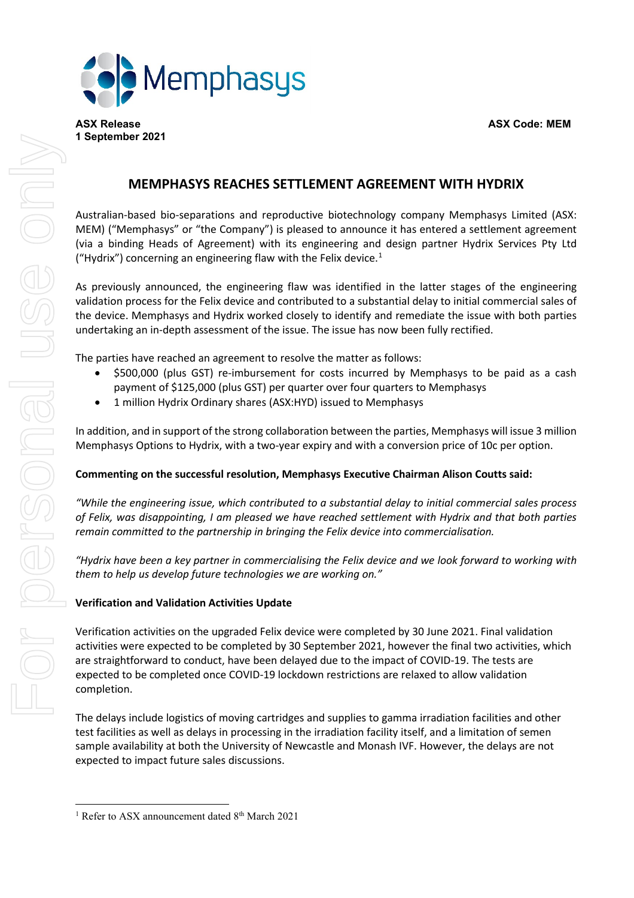

# **MEMPHASYS REACHES SETTLEMENT AGREEMENT WITH HYDRIX**

Australian-based bio-separations and reproductive biotechnology company Memphasys Limited (ASX: MEM) ("Memphasys" or "the Company") is pleased to announce it has entered a settlement agreement (via a binding Heads of Agreement) with its engineering and design partner Hydrix Services Pty Ltd ("Hydrix") concerning an engineering flaw with the Felix device. $1$ 

As previously announced, the engineering flaw was identified in the latter stages of the engineering validation process for the Felix device and contributed to a substantial delay to initial commercial sales of the device. Memphasys and Hydrix worked closely to identify and remediate the issue with both parties undertaking an in-depth assessment of the issue. The issue has now been fully rectified.

The parties have reached an agreement to resolve the matter as follows:

- \$500,000 (plus GST) re-imbursement for costs incurred by Memphasys to be paid as a cash payment of \$125,000 (plus GST) per quarter over four quarters to Memphasys
- 1 million Hydrix Ordinary shares (ASX:HYD) issued to Memphasys

In addition, and in support of the strong collaboration between the parties, Memphasys will issue 3 million Memphasys Options to Hydrix, with a two-year expiry and with a conversion price of 10c per option.

## **Commenting on the successful resolution, Memphasys Executive Chairman Alison Coutts said:**

*"While the engineering issue, which contributed to a substantial delay to initial commercial sales process of Felix, was disappointing, I am pleased we have reached settlement with Hydrix and that both parties remain committed to the partnership in bringing the Felix device into commercialisation.*

Hydrix have been a key partner in commercialising the Felix device and we look forward to working with " *them to help us develop future technologies we are working on."*

# **Verification and Validation Activities Update**

Verification activities on the upgraded Felix device were completed by 30 June 2021. Final validation activities were expected to be completed by 30 September 2021, however the final two activities, which are straightforward to conduct, have been delayed due to the impact of COVID-19. The tests are expected to be completed once COVID-19 lockdown restrictions are relaxed to allow validation completion.

The delays include logistics of moving cartridges and supplies to gamma irradiation facilities and other test facilities as well as delays in processing in the irradiation facility itself, and a limitation of semen sample availability at both the University of Newcastle and Monash IVF. However, the delays are not expected to impact future sales discussions.

<span id="page-0-0"></span><sup>&</sup>lt;sup>1</sup> Refer to ASX announcement dated 8<sup>th</sup> March 2021